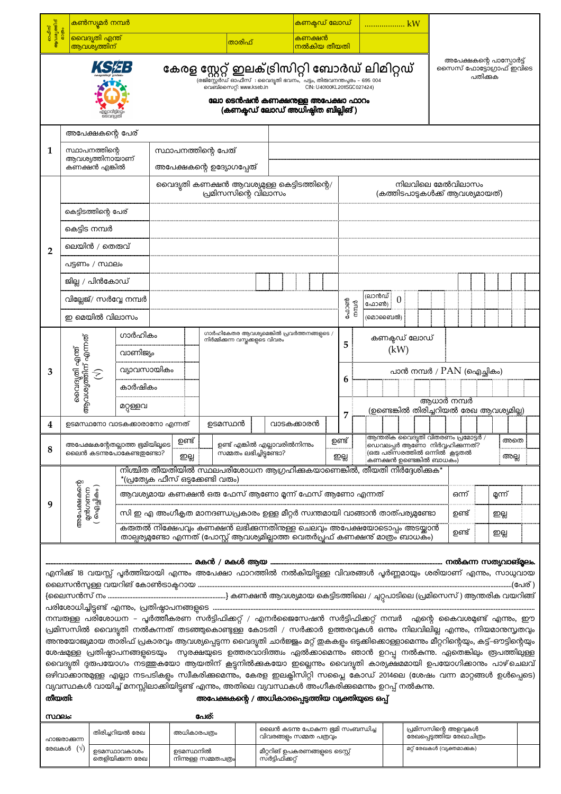|                                |                                    | കൺസ്യൂമർ നമ്പർ                                     |                                 |             |                                                                                                                                                                                                                                                           |                         |  | <mark>കണക്</mark> പഡ് ലോഡ്                                         |                             |      |                |                | kW                                                            |  |            |                                                                          |          |                                         |                         |
|--------------------------------|------------------------------------|----------------------------------------------------|---------------------------------|-------------|-----------------------------------------------------------------------------------------------------------------------------------------------------------------------------------------------------------------------------------------------------------|-------------------------|--|--------------------------------------------------------------------|-----------------------------|------|----------------|----------------|---------------------------------------------------------------|--|------------|--------------------------------------------------------------------------|----------|-----------------------------------------|-------------------------|
| ഓഫീസ്<br>ആവശ്യത്തിന്<br>മാത്രം |                                    | വൈദ്യതി എന്ത്<br>ആവശ്യത്തിന്                       |                                 |             |                                                                                                                                                                                                                                                           | താരിഫ്                  |  | കണക്ഷൻ<br><mark>നൽകിയ തീയതി</mark>                                 |                             |      |                |                |                                                               |  |            |                                                                          |          |                                         |                         |
|                                |                                    | KS#:                                               |                                 |             | കേരള സ്റ്റേറ്റ് ഇലക്ട്രിസിറ്റി ബോർഡ് ലിമിറ്റഡ്<br>.<br>(രജിസ്റ്റേർഡ് ഓഫീസ്  : വൈദൃതി ഭവനം,  പട്ടം, തിരുവനന്തപ്പരം – 695 004<br>വെബ്സൈറ്റ്: www.kseb.in                                                                                                    |                         |  | ലോ ടെൻഷൻ കണക്ഷനുള്ള അപേക്ഷാ ഫാറം<br>(കണകഡ് ലോഡ് അധിഷ്ഠിത ബില്ലിങ്) | CIN: U40100KL2011SGC027424) |      |                |                |                                                               |  |            |                                                                          | പതിക്കുക | അപേക്ഷകന്റെ പാസ്പോർട്ട്                 | സൈസ് ഫോട്ടോഗ്രാഫ് ഇവിടെ |
|                                |                                    | അപേക്ഷകന്റെ പേര്                                   |                                 |             |                                                                                                                                                                                                                                                           |                         |  |                                                                    |                             |      |                |                |                                                               |  |            |                                                                          |          |                                         |                         |
| 1                              |                                    | സ്ഥാപനത്തിന്റെ<br>ആവശ്യത്തിനായാണ്<br>കണക്ഷൻ എങ്കിൽ |                                 |             | സ്ഥാപനത്തിന്റെ പേത്<br>അപേക്ഷകന്റെ ഉദ്യോഗപ്പേത്                                                                                                                                                                                                           |                         |  |                                                                    |                             |      |                |                |                                                               |  |            |                                                                          |          |                                         |                         |
|                                |                                    |                                                    |                                 |             | വൈദൃതി കണക്ഷൻ ആവശ്യമുള്ള കെട്ടിടത്തിന്റെ/<br>പ്രമിസസിന്റെ വിലാസം                                                                                                                                                                                          |                         |  |                                                                    |                             |      |                |                |                                                               |  |            | നിലവിലെ മേൽവിലാസം<br>(കത്തിടപാടുകൾക്ക് ആവശ്യമായത്)                       |          |                                         |                         |
|                                |                                    | കെട്ടിടത്തിന്റെ പേര്                               |                                 |             |                                                                                                                                                                                                                                                           |                         |  |                                                                    |                             |      |                |                |                                                               |  |            |                                                                          |          |                                         |                         |
|                                |                                    | കെട്ടിട നമ്പർ                                      |                                 |             |                                                                                                                                                                                                                                                           |                         |  |                                                                    |                             |      |                |                |                                                               |  |            |                                                                          |          |                                         |                         |
| $\overline{2}$                 |                                    | ലെയിൻ / തെരുവ്                                     |                                 |             |                                                                                                                                                                                                                                                           |                         |  |                                                                    |                             |      |                |                |                                                               |  |            |                                                                          |          |                                         |                         |
|                                |                                    | പട്ടണം / സ്ഥലം                                     |                                 |             |                                                                                                                                                                                                                                                           |                         |  |                                                                    |                             |      |                |                |                                                               |  |            |                                                                          |          |                                         |                         |
|                                |                                    | ജില്ല / പിൻകോഡ്                                    |                                 |             |                                                                                                                                                                                                                                                           |                         |  |                                                                    |                             |      |                |                |                                                               |  |            |                                                                          |          |                                         |                         |
|                                |                                    | ഇ മെയിൽ വിലാസം                                     | വില്ലേജ്/ സർവ്വേ നമ്പർ          |             |                                                                                                                                                                                                                                                           |                         |  |                                                                    |                             | ഫോൺ  | m <sub>0</sub> | (ലാൻഡ്<br>ഫോൺ) | $\overline{0}$<br>(മൊബൈൽ)                                     |  |            |                                                                          |          |                                         |                         |
|                                |                                    |                                                    | ഗാർഹികം                         |             | ഗാർഹികേതര ആവശ്യമെങ്കിൽ പ്രവർത്തനങ്ങളുടെ /                                                                                                                                                                                                                 |                         |  |                                                                    |                             |      |                |                |                                                               |  |            |                                                                          |          |                                         |                         |
|                                |                                    |                                                    | വാണിജ്യം                        |             | നിർമ്മിക്കുന്ന വസ്തക്കളുടെ വിവരം                                                                                                                                                                                                                          |                         |  |                                                                    |                             | 5    |                |                | കണക്ടഡ് ലോഡ്<br>(kW)                                          |  |            |                                                                          |          |                                         |                         |
| 3                              | വൈദൃതി എന്ത്<br>ആവശ്യത്തിന് എന്നത് |                                                    | വ്യാവസായികം                     |             |                                                                                                                                                                                                                                                           |                         |  |                                                                    |                             |      |                |                |                                                               |  |            | പാൻ നമ്പർ / $PAN$ (ഐച്ഛികം)                                              |          |                                         |                         |
|                                |                                    | E                                                  | കാർഷികം                         |             |                                                                                                                                                                                                                                                           |                         |  |                                                                    |                             | 6    |                |                |                                                               |  |            |                                                                          |          |                                         |                         |
|                                |                                    |                                                    | മറ്റുള്ളവ                       |             |                                                                                                                                                                                                                                                           |                         |  |                                                                    |                             |      |                |                |                                                               |  | അധാർ നമ്പർ |                                                                          |          |                                         |                         |
| 4                              |                                    |                                                    | ഉടമസ്ഥനോ വാടകക്കാരാനോ എന്നത്    |             | ഉടമസ്ഥൻ                                                                                                                                                                                                                                                   |                         |  | വാടകക്കാരൻ                                                         |                             | 7    |                |                |                                                               |  |            |                                                                          |          | (ഉണ്ടെങ്കിൽ തിരിച്ചറിയൽ രേഖ ആവശ്യമില്ല) |                         |
|                                |                                    |                                                    | അപേക്ഷകന്റേതല്ലാത്ത ഭ്രമിയിലൂടെ | ഉണ്ട്       |                                                                                                                                                                                                                                                           |                         |  | ഉണ്ട് എങ്കിൽ എല്ലാവരിൽനിന്നും                                      | ഉണ്ട്                       |      |                |                |                                                               |  |            | :ആന്തരിക വൈദ്യതി വിതരണം പ്രമോട്ടർ /<br>ംഡെവലപ്പർ ആണോ  നിർവ്വഹിക്കുന്നത്? |          |                                         | അതെ                     |
| 8                              |                                    |                                                    | ലൈൻ കടന്നുപോകേണ്ടതുണ്ടോ?        | ഇല്ല        |                                                                                                                                                                                                                                                           | സമ്മതം ലഭിച്ചിട്ടുണ്ടോ? |  |                                                                    |                             | ഇല്ല |                |                | ്രരങ്ങ പരിസരത്തിൽ ഒന്നിൽ  കൂട്ടതൽ<br>കണക്ഷൻ ഉണ്ടെങ്കിൽ ബാധകം) |  |            |                                                                          |          |                                         | അല്ല                    |
|                                |                                    |                                                    |                                 |             | നിശ്ചിത തീയതിയിൽ സ്ഥലപരിശോധന ആഗ്രഹിക്കുകയാണെങ്കിൽ, തീയതി നിർദ്ദേശിക്കുക*<br>$*($ പ്രത്യേക ഫീസ് ഒടുക്കേണ്ടി വരും)                                                                                                                                          |                         |  |                                                                    |                             |      |                |                |                                                               |  |            |                                                                          |          |                                         |                         |
|                                |                                    | അപേക്ഷകന്റെ<br>മൻഗണന<br>( ഐച്ഛികം )                |                                 |             | ആവശ്യമായ കണക്ഷൻ ഒരു ഫേസ് ആണോ മൂന്ന് ഫേസ് ആണോ എന്നത്                                                                                                                                                                                                       |                         |  |                                                                    |                             |      |                |                |                                                               |  | ഒന്ന്      |                                                                          |          | മ്ലന്ന്                                 |                         |
| 9                              |                                    |                                                    |                                 |             | സി ഇ എ അംഗീകൃത മാനദണ്ഡപ്രകാരം ഉള്ള മീറ്റർ സ്വന്തമായി വാങ്ങാൻ താത്പര്യമുണ്ടോ                                                                                                                                                                               |                         |  |                                                                    |                             |      |                |                |                                                               |  | ഉണ്ട്      |                                                                          |          | ഇല്ല                                    |                         |
|                                |                                    |                                                    |                                 |             | കരുതൽ നിക്ഷേപവും കണക്ഷൻ ലഭിക്കന്നതിനള്ള ചെലവും അപേക്ഷയോടൊപ്പം അടയ്ക്കാൻ<br>താല്പര്യമുണ്ടോ എന്നത് (പോസ്റ്റ് ആവശ്യമില്ലാത്ത് വെതർപ്രഫ് കണക്ഷന്റ് മാത്രം ബാധകം)                                                                                              |                         |  |                                                                    |                             |      |                |                |                                                               |  | ഉണ്ട്      |                                                                          |          | ഇല്ല                                    |                         |
|                                |                                    |                                                    |                                 |             |                                                                                                                                                                                                                                                           |                         |  |                                                                    |                             |      |                |                |                                                               |  |            |                                                                          |          |                                         |                         |
|                                |                                    |                                                    |                                 |             | എനിക്ക് 18 വയസ്സ് പൂർത്തിയായി എന്നം അപേക്ഷാ ഫാറത്തിൽ നൽകിയിട്ടുള്ള വിവരങ്ങൾ പൂർണ്ണമായും ശരിയാണ് എന്നം, സാധുവായ                                                                                                                                            |                         |  |                                                                    |                             |      |                |                |                                                               |  |            |                                                                          |          |                                         |                         |
|                                |                                    |                                                    |                                 |             | നമ്പത്ള്ള പരിശോധന – പൂർത്തീകരണ സർട്ടിഫിക്കറ്റ് / എനർജൈസേഷൻ സർട്ടിഫിക്കറ്റ് നമ്പർ  എന്റെ കൈവശമുണ്ട് എന്നും, ഈ                                                                                                                                              |                         |  |                                                                    |                             |      |                |                |                                                               |  |            |                                                                          |          |                                         |                         |
|                                |                                    |                                                    |                                 |             | പ്രമിസസിൽ വൈദൃതി നൽകന്നത് തടഞ്ഞുകൊണ്ടുള്ള കോടതി / സർക്കാർ ഉത്തരവുകൾ ഒന്നും നിലവിലില്ല എന്നും, നിയമാനുസൃതവും                                                                                                                                               |                         |  |                                                                    |                             |      |                |                |                                                               |  |            |                                                                          |          |                                         |                         |
|                                |                                    |                                                    |                                 |             | അനയോജ്യമായ താരിഫ് പ്രകാരവും ആവശ്യപ്പെടുന്ന വൈദ്യുതി ചാർജ്ജും മറ്റ് ഇകകളും ഒടുക്കികൊള്ളാമെന്നും മീറ്ററിന്റെയും, കട്ട്–ഔട്ടിന്റെയും<br>ശേഷമുള്ള പ്രതിഷ്ഠാപനങ്ങളുടെയും  സുരക്ഷയുടെ ഉത്തരവാദിത്ത്വം ഏൽക്കാമെന്നും ഞാൻ ഉറപ്പു നൽകന്നു. ഏതെങ്കിലും രൂപത്തിലുള്ള |                         |  |                                                                    |                             |      |                |                |                                                               |  |            |                                                                          |          |                                         |                         |
|                                |                                    |                                                    |                                 |             | വൈദ്യുതി ദുരുപയോഗം നടത്തുകയോ ആയതിന് കൂട്ടുനിൽക്കുകയോ ഇല്ലെന്നും വൈദ്യുതി കാര്യക്ഷമമായി ഉപയോഗിക്കാനും പാഴ്ചെലവ്                                                                                                                                            |                         |  |                                                                    |                             |      |                |                |                                                               |  |            |                                                                          |          |                                         |                         |
|                                |                                    |                                                    |                                 |             | ഒഴിവാക്കാന്തമുള്ള എല്ലാ നടപടികളും സ്വീകരിക്കുമെന്നും, കേരള ഇലക്ലിസിറ്റി സപ്ലൈ കോഡ് 2014ലെ (ശേഷം വന്ന മാറ്റങ്ങൾ ഉൾപ്പെടെ)<br>വ്യവസ്ഥകൾ വായിച്ച് മനസ്സിലാക്കിയിട്ടുണ്ട് എന്നം, അതിലെ വ്യവസ്ഥകൾ അംഗീകരിക്കുമെന്നും ഉറപ്പ് നൽകന്നു.                           |                         |  |                                                                    |                             |      |                |                |                                                               |  |            |                                                                          |          |                                         |                         |
| തീയതി:                         |                                    |                                                    |                                 |             | അപേക്ഷകന്റെ / അധികാരപ്പെടുത്തിയ വ്യക്തിയുടെ ഒപ്പ്                                                                                                                                                                                                         |                         |  |                                                                    |                             |      |                |                |                                                               |  |            |                                                                          |          |                                         |                         |
| സ്ഥലം:                         |                                    |                                                    |                                 |             | പേര്:                                                                                                                                                                                                                                                     |                         |  |                                                                    |                             |      |                |                |                                                               |  |            |                                                                          |          |                                         |                         |
|                                | ഹായരാക്കുന                         |                                                    | തിരിച്ചറിയൽ രേഖ                 | അധികാരപത്രം |                                                                                                                                                                                                                                                           |                         |  | ലൈൻ കടന്നു പോകുന്ന ഭ്രമി സംബന്ധിച്ച<br>വിവരങ്ങളം സമ്മത പത്രവും     |                             |      |                |                |                                                               |  |            | പ്രമിസസിന്റെ അളവുകൾ<br>രേഖപ്പെടുത്തിയ രേഖാചിത്രം                         |          |                                         |                         |

മീറ്ററിങ് ഉപകരണങ്ങളുടെ ടെസ്റ്റ്<br>സർട്ടിഫിക്കറ്റ്

മറ്റ് രേഖകൾ (വ്യക്തമാക്കുക)

രേഖകൾ  $(\vec{\vee})$ 

.<br>ഉടമസ്ഥാവകാശം<br>തെളിയിക്കുന്ന രേഖ

ഉടമസ്ഥനിൽ<br>നിന്നുള്ള സമ്മതപത്രം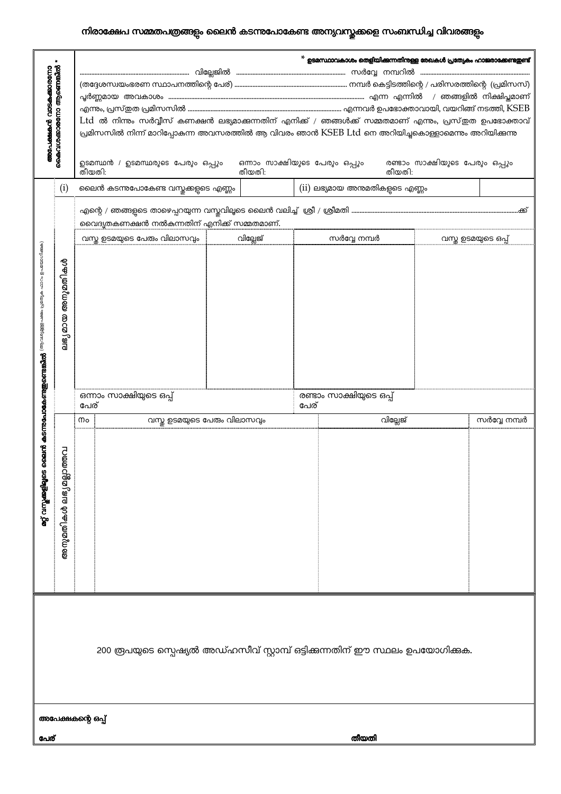## നിരാക്ഷേപ സമ്മതപത്രങ്ങളും ലൈൻ കടന്നുപോകേണ്ട അന്യവസ്തുക്കളെ സംബന്ധിച്ച വിവരങ്ങളും

| ലഭ്യമായ അനുമതികൾ |
|------------------|
|                  |
|                  |
|                  |
|                  |